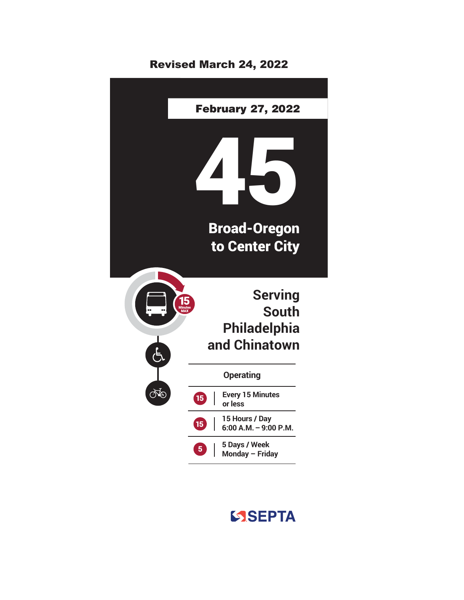## Revised March 24, 2022



## SSEPTA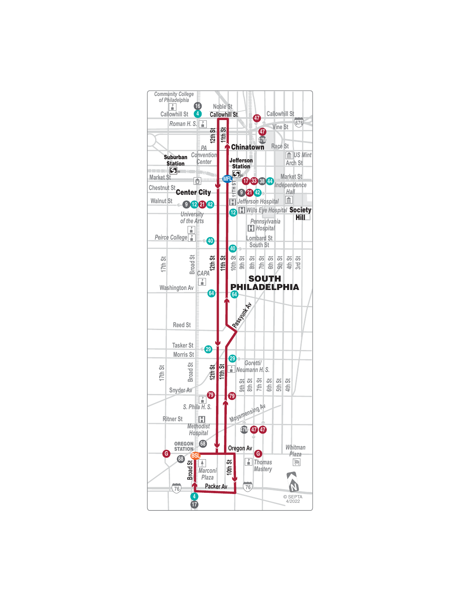